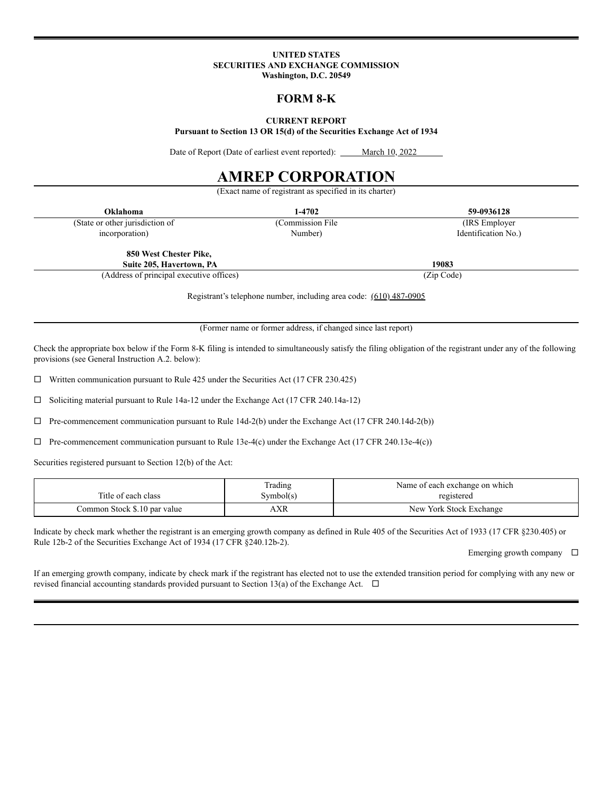#### **UNITED STATES SECURITIES AND EXCHANGE COMMISSION Washington, D.C. 20549**

## **FORM 8-K**

#### **CURRENT REPORT**

**Pursuant to Section 13 OR 15(d) of the Securities Exchange Act of 1934**

Date of Report (Date of earliest event reported): \_\_\_\_\_ March 10, 2022

# **AMREP CORPORATION**

(Exact name of registrant as specified in its charter) **Oklahoma 1-4702 59-0936128** (State or other jurisdiction of (Commission File (IRS Employer incorporation) Number) Number (Internation No.) **850 West Chester Pike, Suite 205, Havertown, PA 19083**

(Address of principal executive offices) (Zip Code)

Registrant's telephone number, including area code: (610) 487-0905

(Former name or former address, if changed since last report)

Check the appropriate box below if the Form 8-K filing is intended to simultaneously satisfy the filing obligation of the registrant under any of the following provisions (see General Instruction A.2. below):

 $\Box$  Written communication pursuant to Rule 425 under the Securities Act (17 CFR 230.425)

 $\square$  Soliciting material pursuant to Rule 14a-12 under the Exchange Act (17 CFR 240.14a-12)

 $\Box$  Pre-commencement communication pursuant to Rule 14d-2(b) under the Exchange Act (17 CFR 240.14d-2(b))

 $\Box$  Pre-commencement communication pursuant to Rule 13e-4(c) under the Exchange Act (17 CFR 240.13e-4(c))

Securities registered pursuant to Section 12(b) of the Act:

| Title of each class          | Trading<br>Symbol(s) | Name of each exchange on which<br>registered |
|------------------------------|----------------------|----------------------------------------------|
| Common Stock \$.10 par value | ۱XR                  | New York Stock Exchange                      |

Indicate by check mark whether the registrant is an emerging growth company as defined in Rule 405 of the Securities Act of 1933 (17 CFR §230.405) or Rule 12b-2 of the Securities Exchange Act of 1934 (17 CFR §240.12b-2).

Emerging growth company  $\square$ 

If an emerging growth company, indicate by check mark if the registrant has elected not to use the extended transition period for complying with any new or revised financial accounting standards provided pursuant to Section 13(a) of the Exchange Act.  $\Box$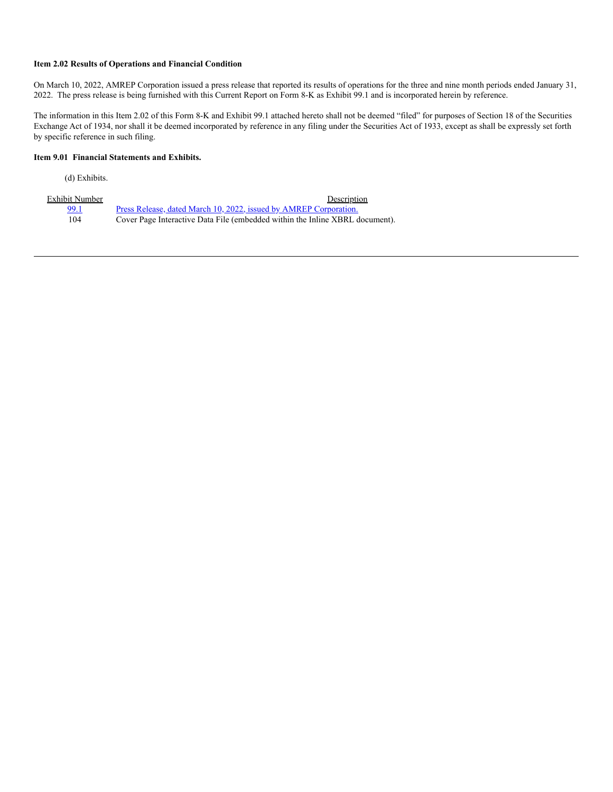#### **Item 2.02 Results of Operations and Financial Condition**

On March 10, 2022, AMREP Corporation issued a press release that reported its results of operations for the three and nine month periods ended January 31, 2022. The press release is being furnished with this Current Report on Form 8-K as Exhibit 99.1 and is incorporated herein by reference.

The information in this Item 2.02 of this Form 8-K and Exhibit 99.1 attached hereto shall not be deemed "filed" for purposes of Section 18 of the Securities Exchange Act of 1934, nor shall it be deemed incorporated by reference in any filing under the Securities Act of 1933, except as shall be expressly set forth by specific reference in such filing.

#### **Item 9.01 Financial Statements and Exhibits.**

(d) Exhibits.

| Exhibit Number | Description                                                                  |
|----------------|------------------------------------------------------------------------------|
| 99.1           | <u>Press Release, dated March 10, 2022, issued by AMREP Corporation.</u>     |
| 104            | Cover Page Interactive Data File (embedded within the Inline XBRL document). |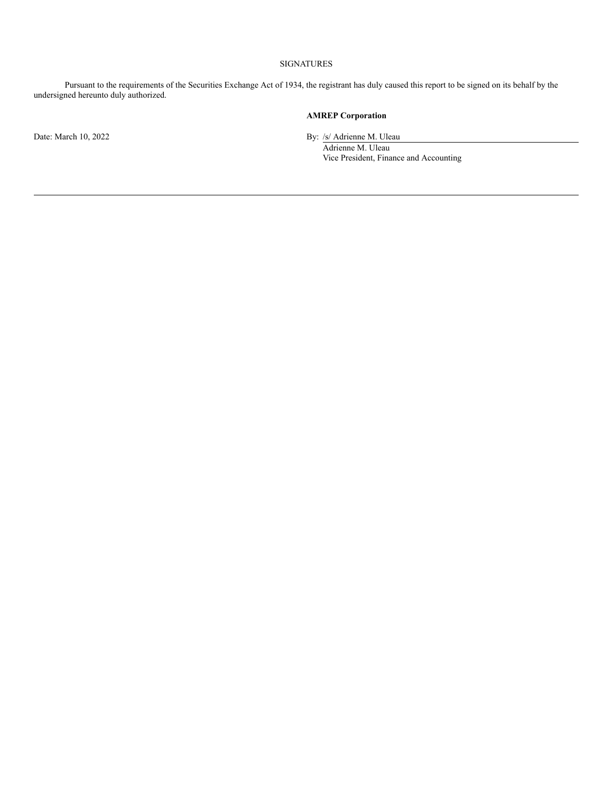#### SIGNATURES

Pursuant to the requirements of the Securities Exchange Act of 1934, the registrant has duly caused this report to be signed on its behalf by the undersigned hereunto duly authorized.

## **AMREP Corporation**

Date: March 10, 2022 By: /s/ Adrienne M. Uleau

Adrienne M. Uleau Vice President, Finance and Accounting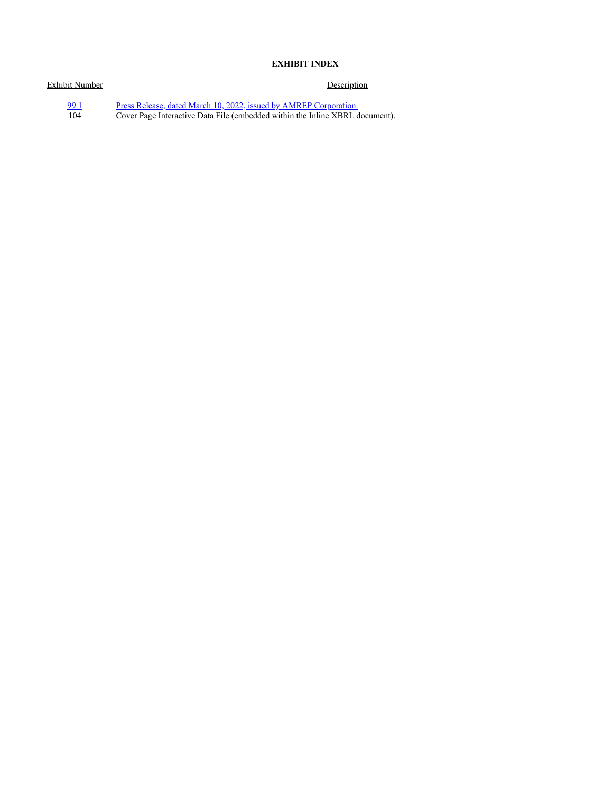## **EXHIBIT INDEX**

| Exhibit Number | Description                                                                  |
|----------------|------------------------------------------------------------------------------|
| 99.1           | Press Release, dated March 10, 2022, issued by AMREP Corporation.            |
| 104            | Cover Page Interactive Data File (embedded within the Inline XBRL document). |